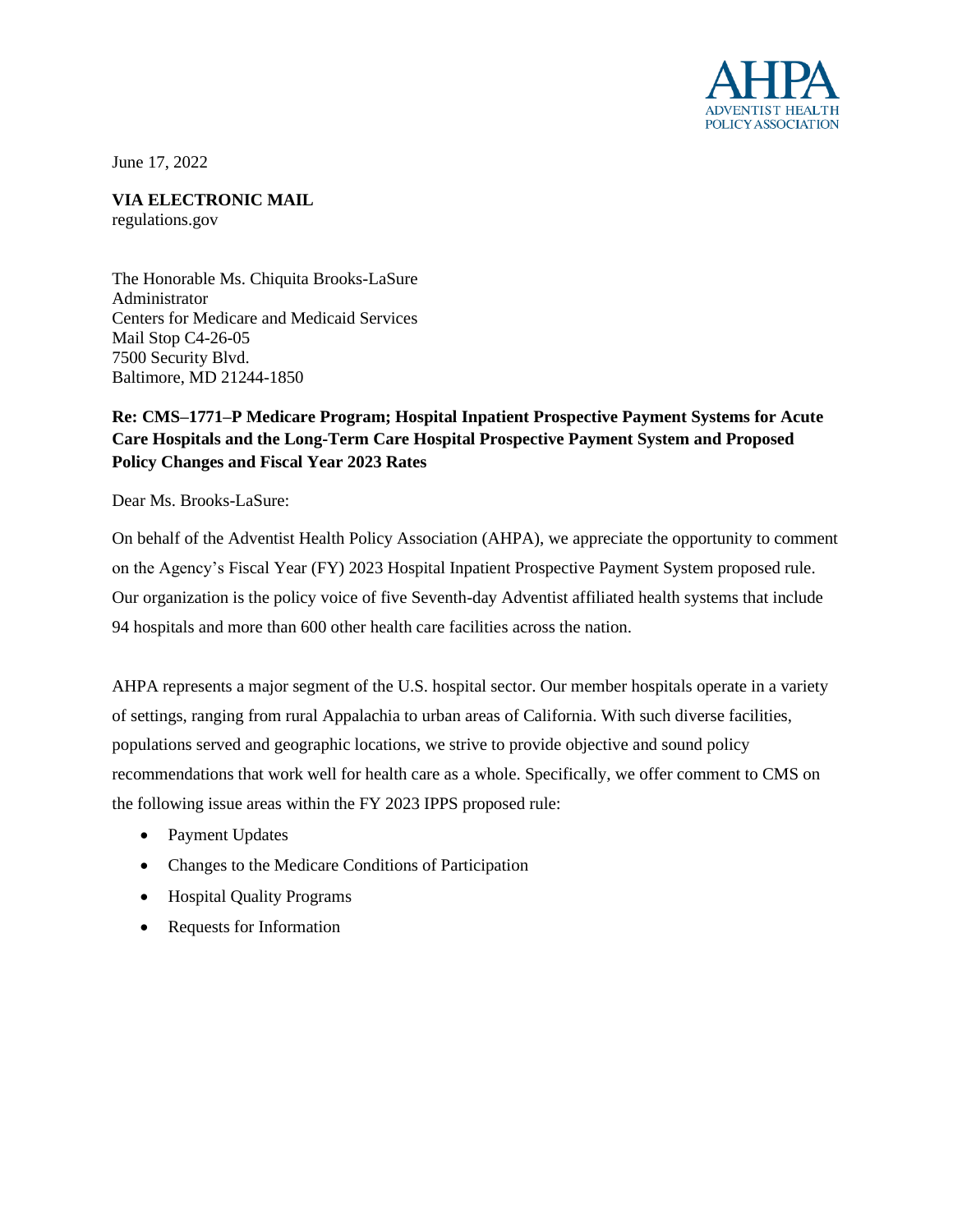

June 17, 2022

**VIA ELECTRONIC MAIL** regulations.gov

The Honorable Ms. Chiquita Brooks-LaSure Administrator Centers for Medicare and Medicaid Services Mail Stop C4-26-05 7500 Security Blvd. Baltimore, MD 21244-1850

# **Re: CMS–1771–P Medicare Program; Hospital Inpatient Prospective Payment Systems for Acute Care Hospitals and the Long-Term Care Hospital Prospective Payment System and Proposed Policy Changes and Fiscal Year 2023 Rates**

Dear Ms. Brooks-LaSure:

On behalf of the Adventist Health Policy Association (AHPA), we appreciate the opportunity to comment on the Agency's Fiscal Year (FY) 2023 Hospital Inpatient Prospective Payment System proposed rule. Our organization is the policy voice of five Seventh-day Adventist affiliated health systems that include 94 hospitals and more than 600 other health care facilities across the nation.

AHPA represents a major segment of the U.S. hospital sector. Our member hospitals operate in a variety of settings, ranging from rural Appalachia to urban areas of California. With such diverse facilities, populations served and geographic locations, we strive to provide objective and sound policy recommendations that work well for health care as a whole. Specifically, we offer comment to CMS on the following issue areas within the FY 2023 IPPS proposed rule:

- Payment Updates
- Changes to the Medicare Conditions of Participation
- Hospital Quality Programs
- Requests for Information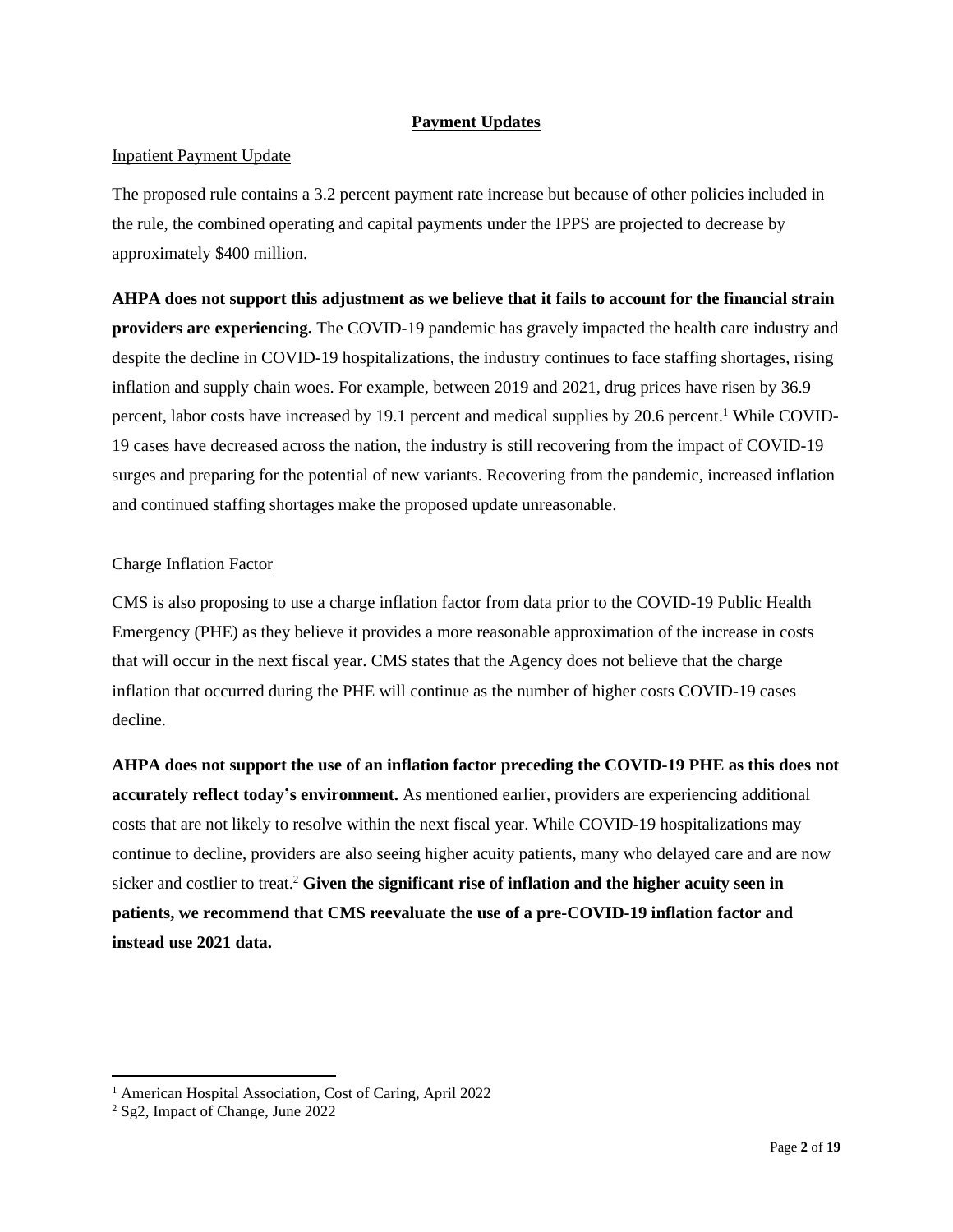# **Payment Updates**

# Inpatient Payment Update

The proposed rule contains a 3.2 percent payment rate increase but because of other policies included in the rule, the combined operating and capital payments under the IPPS are projected to decrease by approximately \$400 million.

**AHPA does not support this adjustment as we believe that it fails to account for the financial strain providers are experiencing.** The COVID-19 pandemic has gravely impacted the health care industry and despite the decline in COVID-19 hospitalizations, the industry continues to face staffing shortages, rising inflation and supply chain woes. For example, between 2019 and 2021, drug prices have risen by 36.9 percent, labor costs have increased by 19.1 percent and medical supplies by 20.6 percent.<sup>1</sup> While COVID-19 cases have decreased across the nation, the industry is still recovering from the impact of COVID-19 surges and preparing for the potential of new variants. Recovering from the pandemic, increased inflation and continued staffing shortages make the proposed update unreasonable.

# Charge Inflation Factor

CMS is also proposing to use a charge inflation factor from data prior to the COVID-19 Public Health Emergency (PHE) as they believe it provides a more reasonable approximation of the increase in costs that will occur in the next fiscal year. CMS states that the Agency does not believe that the charge inflation that occurred during the PHE will continue as the number of higher costs COVID-19 cases decline.

**AHPA does not support the use of an inflation factor preceding the COVID-19 PHE as this does not accurately reflect today's environment.** As mentioned earlier, providers are experiencing additional costs that are not likely to resolve within the next fiscal year. While COVID-19 hospitalizations may continue to decline, providers are also seeing higher acuity patients, many who delayed care and are now sicker and costlier to treat.<sup>2</sup> **Given the significant rise of inflation and the higher acuity seen in patients, we recommend that CMS reevaluate the use of a pre-COVID-19 inflation factor and instead use 2021 data.**

<sup>&</sup>lt;sup>1</sup> American Hospital Association, Cost of Caring, April 2022

<sup>2</sup> Sg2, Impact of Change, June 2022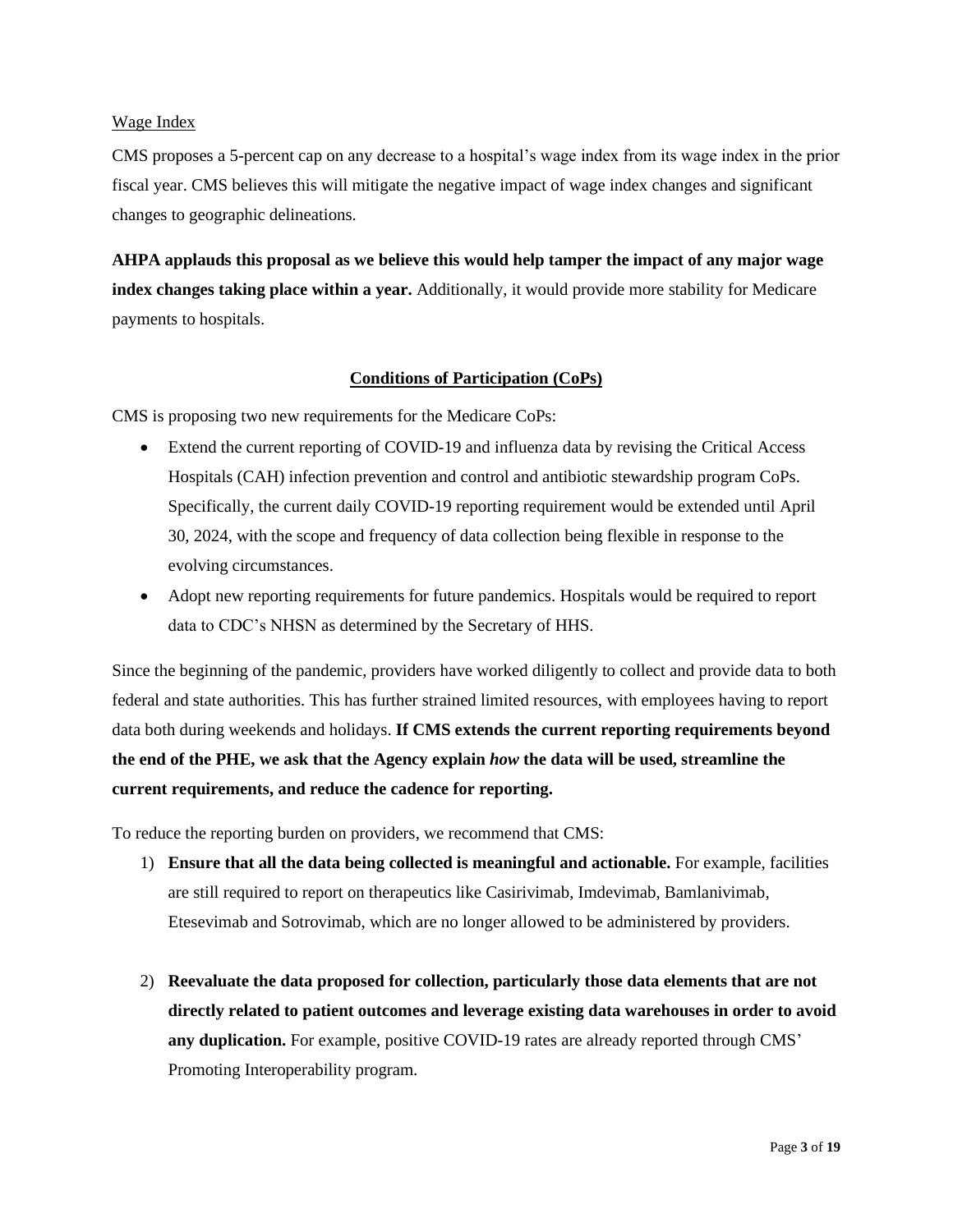# Wage Index

CMS proposes a 5-percent cap on any decrease to a hospital's wage index from its wage index in the prior fiscal year. CMS believes this will mitigate the negative impact of wage index changes and significant changes to geographic delineations.

**AHPA applauds this proposal as we believe this would help tamper the impact of any major wage index changes taking place within a year.** Additionally, it would provide more stability for Medicare payments to hospitals.

# **Conditions of Participation (CoPs)**

CMS is proposing two new requirements for the Medicare CoPs:

- Extend the current reporting of COVID-19 and influenza data by revising the Critical Access Hospitals (CAH) infection prevention and control and antibiotic stewardship program CoPs. Specifically, the current daily COVID-19 reporting requirement would be extended until April 30, 2024, with the scope and frequency of data collection being flexible in response to the evolving circumstances.
- Adopt new reporting requirements for future pandemics. Hospitals would be required to report data to CDC's NHSN as determined by the Secretary of HHS.

Since the beginning of the pandemic, providers have worked diligently to collect and provide data to both federal and state authorities. This has further strained limited resources, with employees having to report data both during weekends and holidays. **If CMS extends the current reporting requirements beyond the end of the PHE, we ask that the Agency explain** *how* **the data will be used, streamline the current requirements, and reduce the cadence for reporting.**

To reduce the reporting burden on providers, we recommend that CMS:

- 1) **Ensure that all the data being collected is meaningful and actionable.** For example, facilities are still required to report on therapeutics like Casirivimab, Imdevimab, Bamlanivimab, Etesevimab and Sotrovimab, which are no longer allowed to be administered by providers.
- 2) **Reevaluate the data proposed for collection, particularly those data elements that are not directly related to patient outcomes and leverage existing data warehouses in order to avoid any duplication.** For example, positive COVID-19 rates are already reported through CMS' Promoting Interoperability program.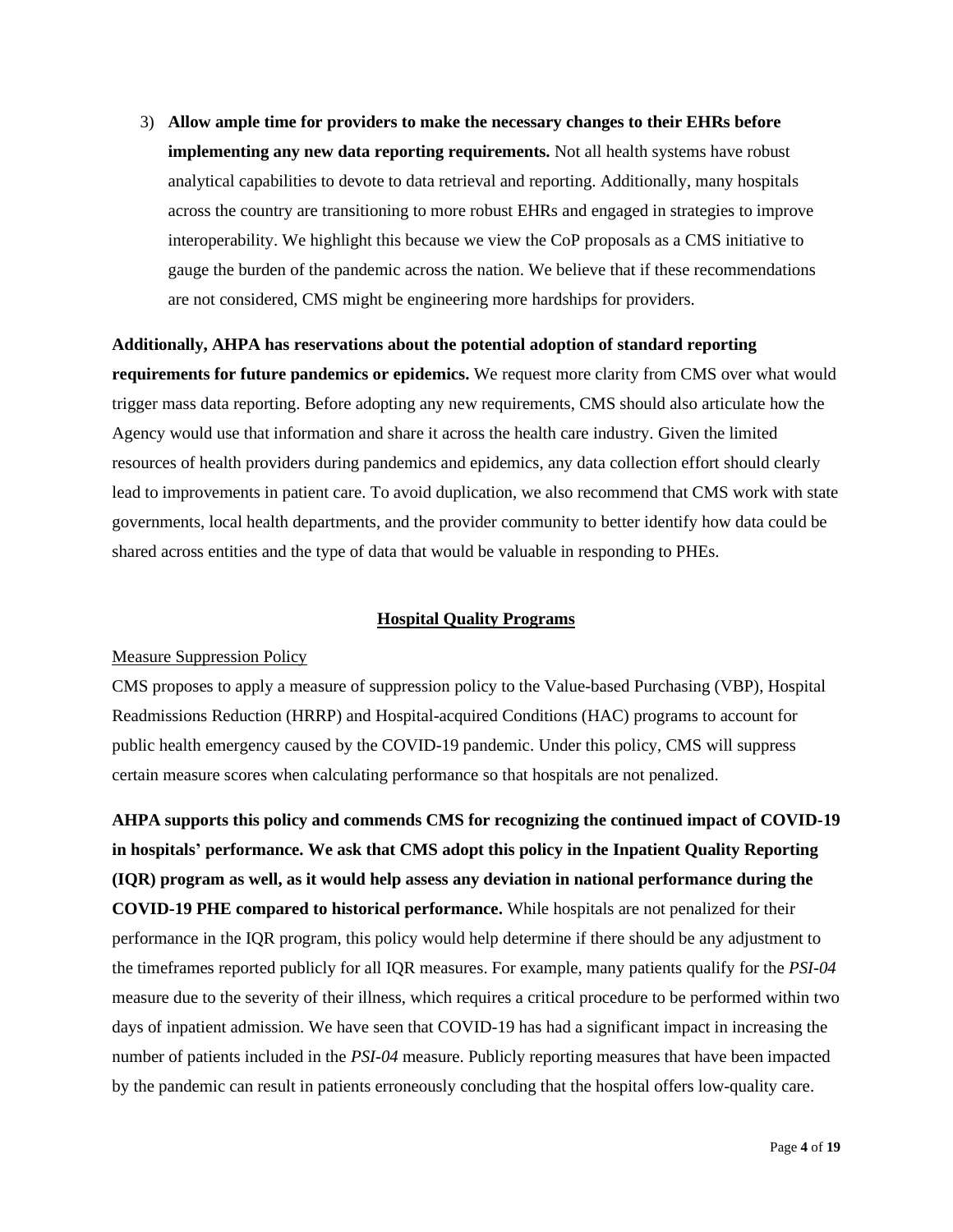3) **Allow ample time for providers to make the necessary changes to their EHRs before implementing any new data reporting requirements.** Not all health systems have robust analytical capabilities to devote to data retrieval and reporting. Additionally, many hospitals across the country are transitioning to more robust EHRs and engaged in strategies to improve interoperability. We highlight this because we view the CoP proposals as a CMS initiative to gauge the burden of the pandemic across the nation. We believe that if these recommendations are not considered, CMS might be engineering more hardships for providers.

**Additionally, AHPA has reservations about the potential adoption of standard reporting requirements for future pandemics or epidemics.** We request more clarity from CMS over what would trigger mass data reporting. Before adopting any new requirements, CMS should also articulate how the Agency would use that information and share it across the health care industry. Given the limited resources of health providers during pandemics and epidemics, any data collection effort should clearly lead to improvements in patient care. To avoid duplication, we also recommend that CMS work with state governments, local health departments, and the provider community to better identify how data could be shared across entities and the type of data that would be valuable in responding to PHEs.

#### **Hospital Quality Programs**

### Measure Suppression Policy

CMS proposes to apply a measure of suppression policy to the Value-based Purchasing (VBP), Hospital Readmissions Reduction (HRRP) and Hospital-acquired Conditions (HAC) programs to account for public health emergency caused by the COVID-19 pandemic. Under this policy, CMS will suppress certain measure scores when calculating performance so that hospitals are not penalized.

**AHPA supports this policy and commends CMS for recognizing the continued impact of COVID-19 in hospitals' performance. We ask that CMS adopt this policy in the Inpatient Quality Reporting (IQR) program as well, as it would help assess any deviation in national performance during the COVID-19 PHE compared to historical performance.** While hospitals are not penalized for their performance in the IQR program, this policy would help determine if there should be any adjustment to the timeframes reported publicly for all IQR measures. For example, many patients qualify for the *PSI-04* measure due to the severity of their illness, which requires a critical procedure to be performed within two days of inpatient admission. We have seen that COVID-19 has had a significant impact in increasing the number of patients included in the *PSI-04* measure. Publicly reporting measures that have been impacted by the pandemic can result in patients erroneously concluding that the hospital offers low-quality care.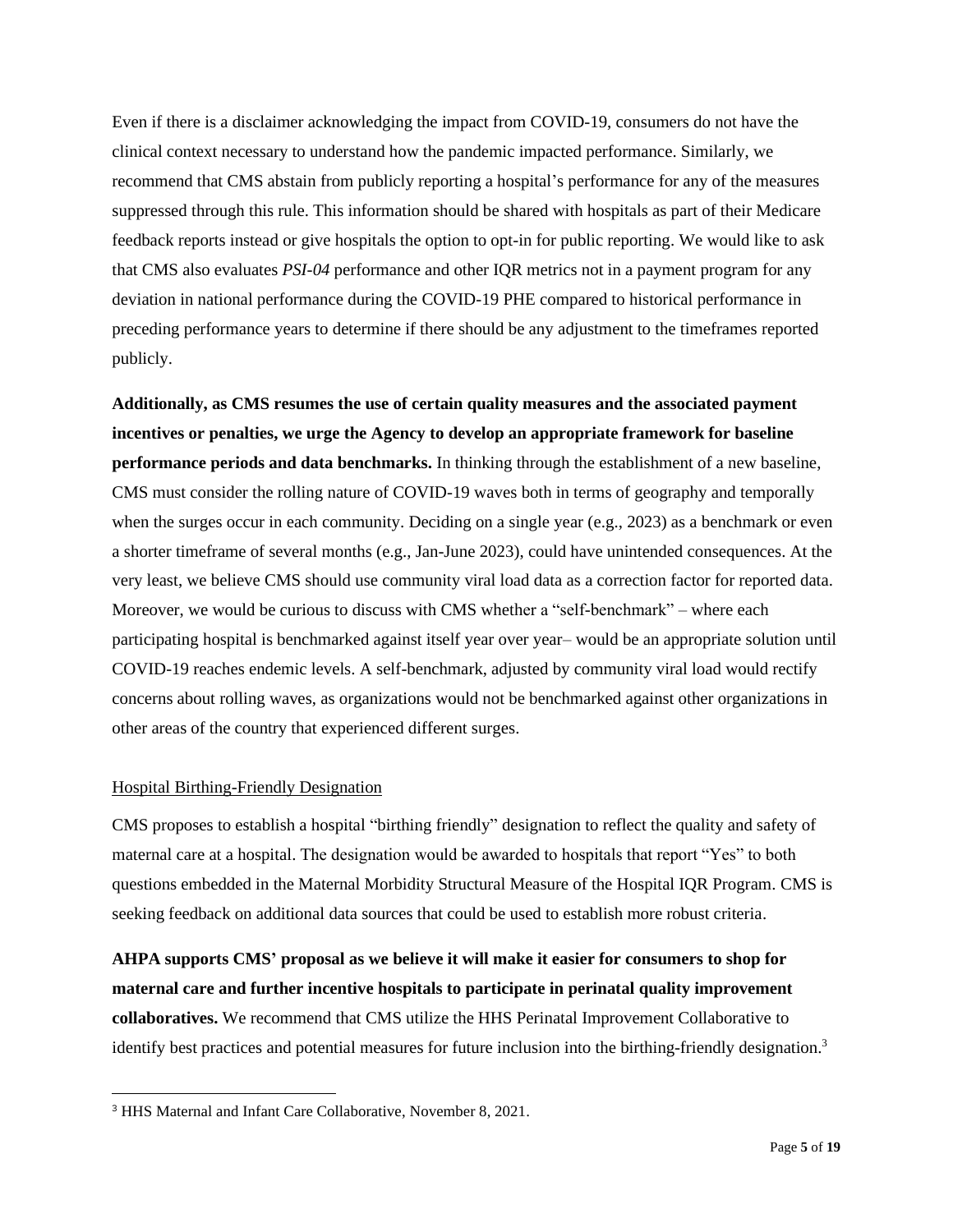Even if there is a disclaimer acknowledging the impact from COVID-19, consumers do not have the clinical context necessary to understand how the pandemic impacted performance. Similarly, we recommend that CMS abstain from publicly reporting a hospital's performance for any of the measures suppressed through this rule. This information should be shared with hospitals as part of their Medicare feedback reports instead or give hospitals the option to opt-in for public reporting. We would like to ask that CMS also evaluates *PSI-04* performance and other IQR metrics not in a payment program for any deviation in national performance during the COVID-19 PHE compared to historical performance in preceding performance years to determine if there should be any adjustment to the timeframes reported publicly.

**Additionally, as CMS resumes the use of certain quality measures and the associated payment incentives or penalties, we urge the Agency to develop an appropriate framework for baseline performance periods and data benchmarks.** In thinking through the establishment of a new baseline, CMS must consider the rolling nature of COVID-19 waves both in terms of geography and temporally when the surges occur in each community. Deciding on a single year (e.g., 2023) as a benchmark or even a shorter timeframe of several months (e.g., Jan-June 2023), could have unintended consequences. At the very least, we believe CMS should use community viral load data as a correction factor for reported data. Moreover, we would be curious to discuss with CMS whether a "self-benchmark" – where each participating hospital is benchmarked against itself year over year– would be an appropriate solution until COVID-19 reaches endemic levels. A self-benchmark, adjusted by community viral load would rectify concerns about rolling waves, as organizations would not be benchmarked against other organizations in other areas of the country that experienced different surges.

### Hospital Birthing-Friendly Designation

CMS proposes to establish a hospital "birthing friendly" designation to reflect the quality and safety of maternal care at a hospital. The designation would be awarded to hospitals that report "Yes" to both questions embedded in the Maternal Morbidity Structural Measure of the Hospital IQR Program. CMS is seeking feedback on additional data sources that could be used to establish more robust criteria.

**AHPA supports CMS' proposal as we believe it will make it easier for consumers to shop for maternal care and further incentive hospitals to participate in perinatal quality improvement collaboratives.** We recommend that CMS utilize the HHS Perinatal Improvement Collaborative to identify best practices and potential measures for future inclusion into the birthing-friendly designation.<sup>3</sup>

<sup>3</sup> HHS Maternal and Infant Care Collaborative, November 8, 2021.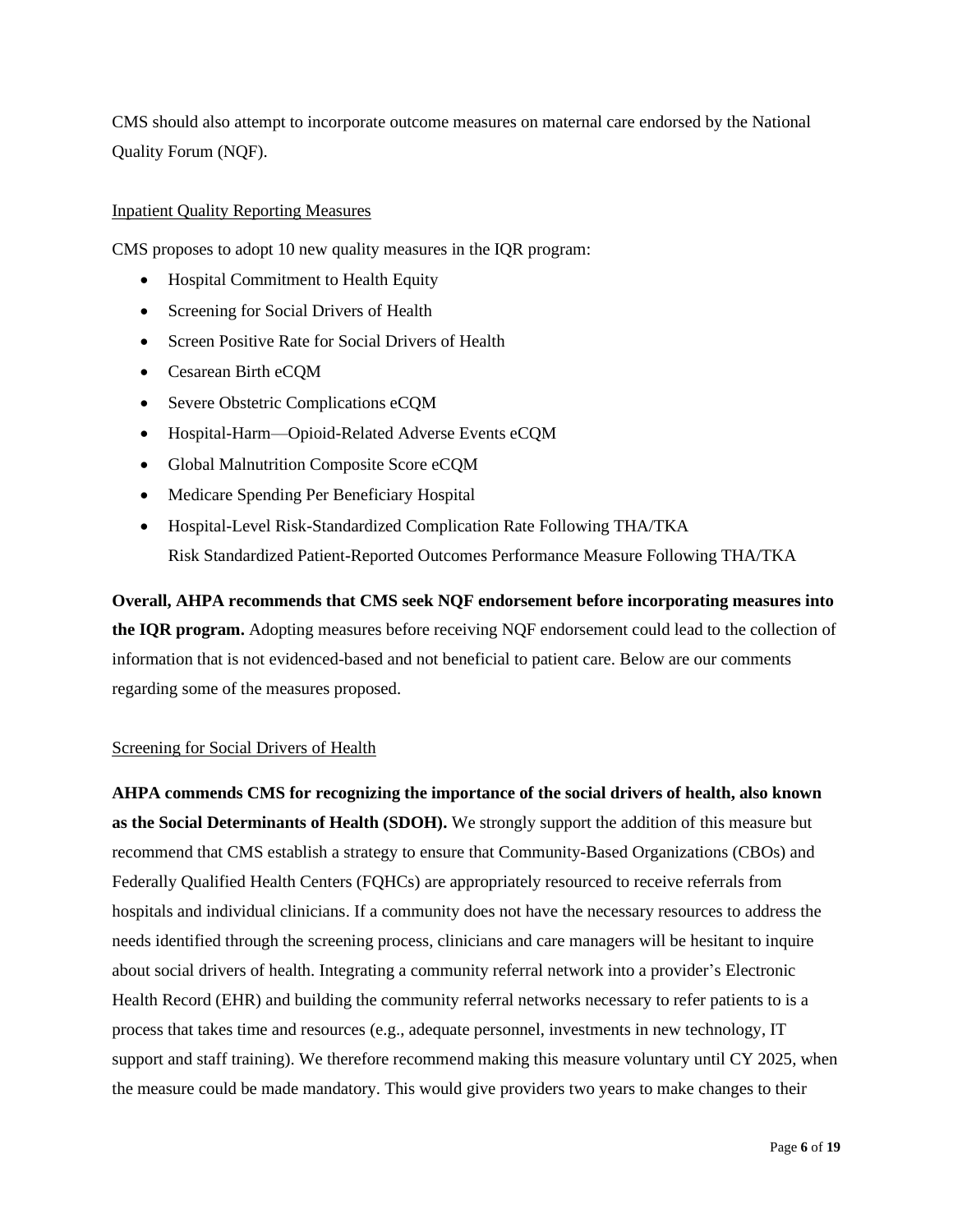CMS should also attempt to incorporate outcome measures on maternal care endorsed by the National Quality Forum (NQF).

# Inpatient Quality Reporting Measures

CMS proposes to adopt 10 new quality measures in the IQR program:

- Hospital Commitment to Health Equity
- Screening for Social Drivers of Health
- Screen Positive Rate for Social Drivers of Health
- Cesarean Birth eCQM
- Severe Obstetric Complications eCQM
- Hospital-Harm—Opioid-Related Adverse Events eCQM
- Global Malnutrition Composite Score eCQM
- Medicare Spending Per Beneficiary Hospital
- Hospital-Level Risk-Standardized Complication Rate Following THA/TKA Risk Standardized Patient-Reported Outcomes Performance Measure Following THA/TKA

**Overall, AHPA recommends that CMS seek NQF endorsement before incorporating measures into the IQR program.** Adopting measures before receiving NQF endorsement could lead to the collection of information that is not evidenced-based and not beneficial to patient care. Below are our comments regarding some of the measures proposed.

# Screening for Social Drivers of Health

**AHPA commends CMS for recognizing the importance of the social drivers of health, also known as the Social Determinants of Health (SDOH).** We strongly support the addition of this measure but recommend that CMS establish a strategy to ensure that Community-Based Organizations (CBOs) and Federally Qualified Health Centers (FQHCs) are appropriately resourced to receive referrals from hospitals and individual clinicians. If a community does not have the necessary resources to address the needs identified through the screening process, clinicians and care managers will be hesitant to inquire about social drivers of health. Integrating a community referral network into a provider's Electronic Health Record (EHR) and building the community referral networks necessary to refer patients to is a process that takes time and resources (e.g., adequate personnel, investments in new technology, IT support and staff training). We therefore recommend making this measure voluntary until CY 2025, when the measure could be made mandatory. This would give providers two years to make changes to their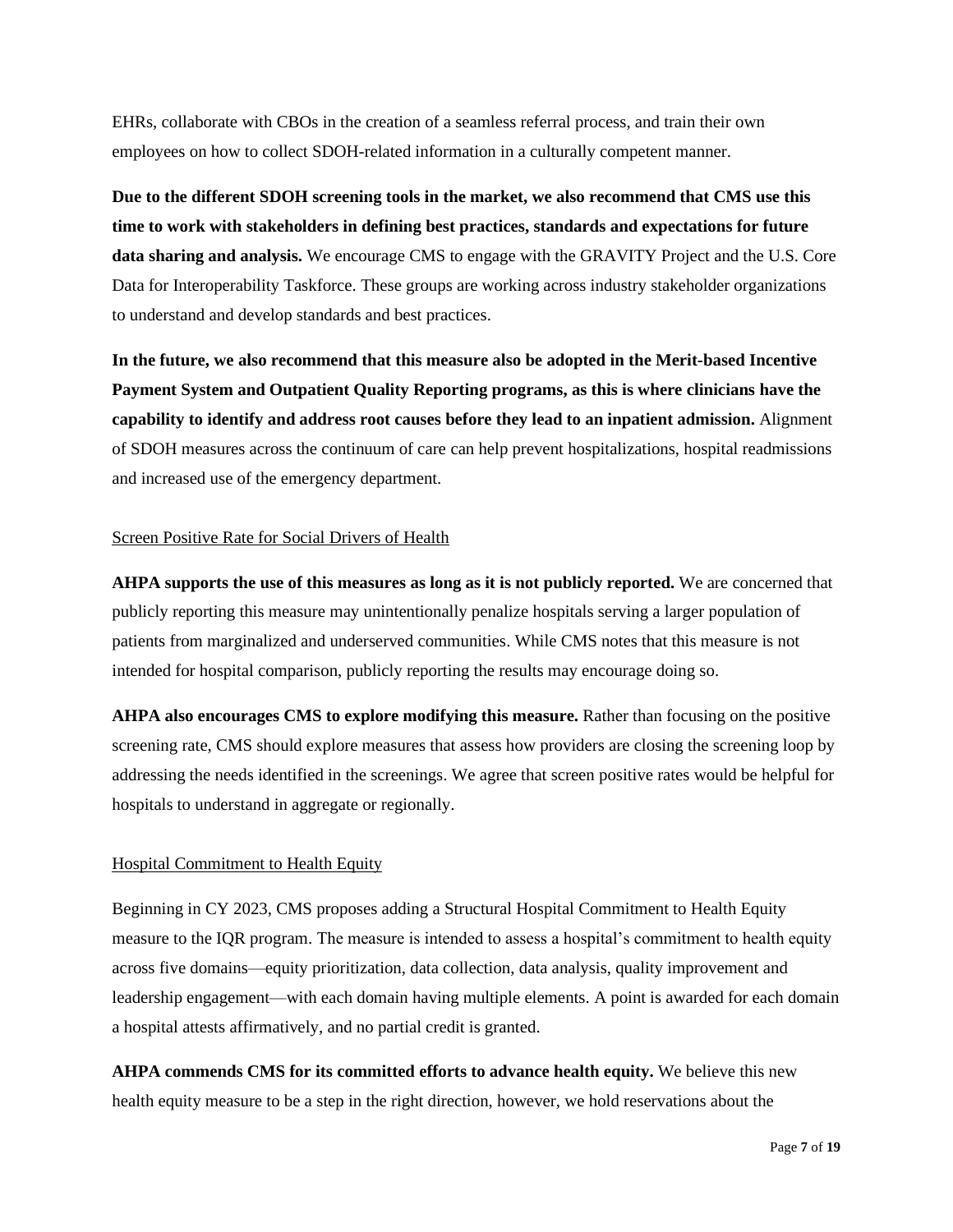EHRs, collaborate with CBOs in the creation of a seamless referral process, and train their own employees on how to collect SDOH-related information in a culturally competent manner.

**Due to the different SDOH screening tools in the market, we also recommend that CMS use this time to work with stakeholders in defining best practices, standards and expectations for future data sharing and analysis.** We encourage CMS to engage with the GRAVITY Project and the U.S. Core Data for Interoperability Taskforce. These groups are working across industry stakeholder organizations to understand and develop standards and best practices.

**In the future, we also recommend that this measure also be adopted in the Merit-based Incentive Payment System and Outpatient Quality Reporting programs, as this is where clinicians have the capability to identify and address root causes before they lead to an inpatient admission.** Alignment of SDOH measures across the continuum of care can help prevent hospitalizations, hospital readmissions and increased use of the emergency department.

### Screen Positive Rate for Social Drivers of Health

**AHPA supports the use of this measures as long as it is not publicly reported.** We are concerned that publicly reporting this measure may unintentionally penalize hospitals serving a larger population of patients from marginalized and underserved communities. While CMS notes that this measure is not intended for hospital comparison, publicly reporting the results may encourage doing so.

**AHPA also encourages CMS to explore modifying this measure.** Rather than focusing on the positive screening rate, CMS should explore measures that assess how providers are closing the screening loop by addressing the needs identified in the screenings. We agree that screen positive rates would be helpful for hospitals to understand in aggregate or regionally.

# Hospital Commitment to Health Equity

Beginning in CY 2023, CMS proposes adding a Structural Hospital Commitment to Health Equity measure to the IQR program. The measure is intended to assess a hospital's commitment to health equity across five domains—equity prioritization, data collection, data analysis, quality improvement and leadership engagement—with each domain having multiple elements. A point is awarded for each domain a hospital attests affirmatively, and no partial credit is granted.

**AHPA commends CMS for its committed efforts to advance health equity.** We believe this new health equity measure to be a step in the right direction, however, we hold reservations about the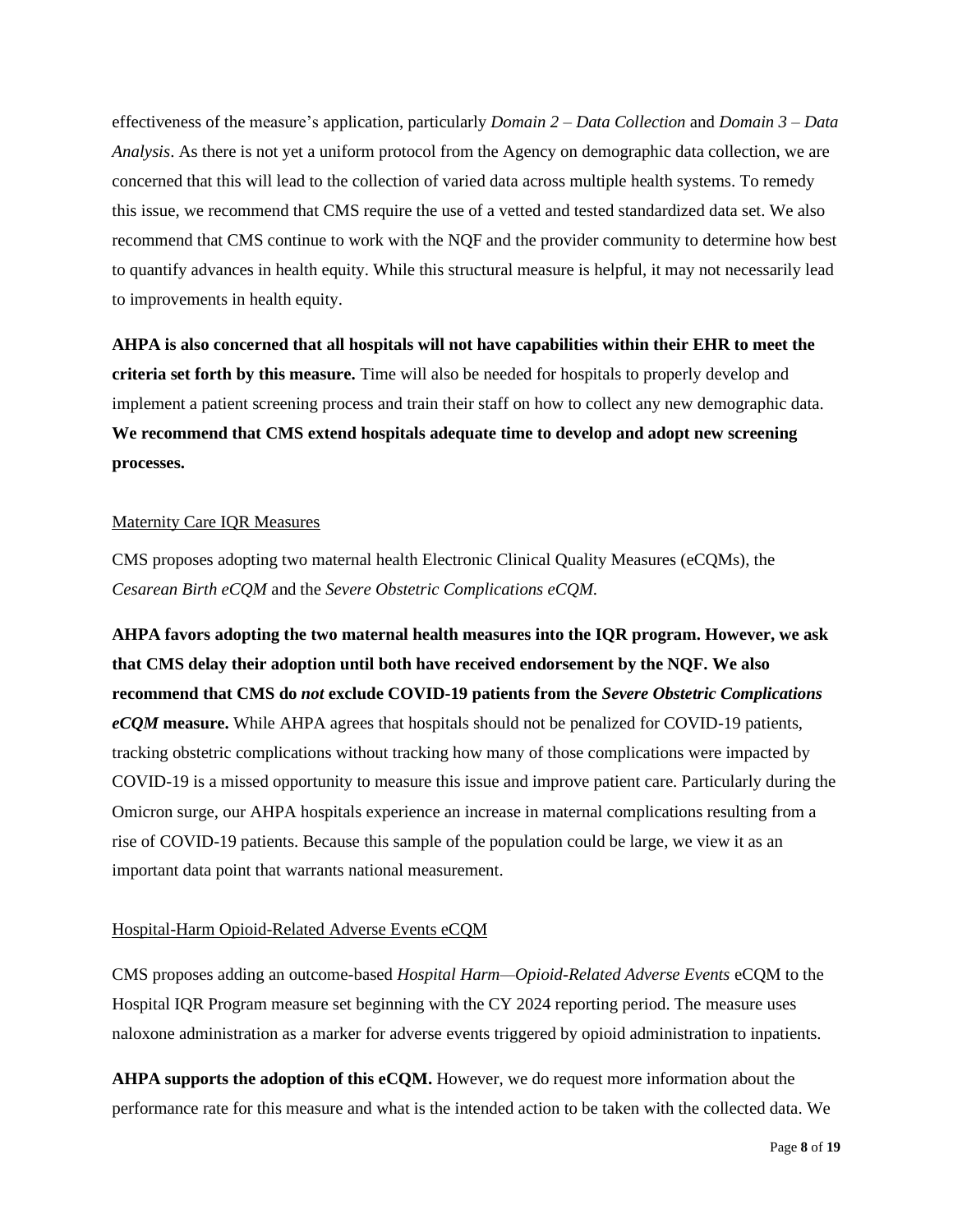effectiveness of the measure's application, particularly *Domain 2 – Data Collection* and *Domain 3 – Data Analysis*. As there is not yet a uniform protocol from the Agency on demographic data collection, we are concerned that this will lead to the collection of varied data across multiple health systems. To remedy this issue, we recommend that CMS require the use of a vetted and tested standardized data set. We also recommend that CMS continue to work with the NQF and the provider community to determine how best to quantify advances in health equity. While this structural measure is helpful, it may not necessarily lead to improvements in health equity.

**AHPA is also concerned that all hospitals will not have capabilities within their EHR to meet the criteria set forth by this measure.** Time will also be needed for hospitals to properly develop and implement a patient screening process and train their staff on how to collect any new demographic data. **We recommend that CMS extend hospitals adequate time to develop and adopt new screening processes.** 

#### Maternity Care IQR Measures

CMS proposes adopting two maternal health Electronic Clinical Quality Measures (eCQMs), the *Cesarean Birth eCQM* and the *Severe Obstetric Complications eCQM.*

**AHPA favors adopting the two maternal health measures into the IQR program. However, we ask that CMS delay their adoption until both have received endorsement by the NQF. We also recommend that CMS do** *not* **exclude COVID-19 patients from the** *Severe Obstetric Complications eCQM* **measure.** While AHPA agrees that hospitals should not be penalized for COVID-19 patients, tracking obstetric complications without tracking how many of those complications were impacted by COVID-19 is a missed opportunity to measure this issue and improve patient care. Particularly during the Omicron surge, our AHPA hospitals experience an increase in maternal complications resulting from a rise of COVID-19 patients. Because this sample of the population could be large, we view it as an important data point that warrants national measurement.

#### Hospital-Harm Opioid-Related Adverse Events eCQM

CMS proposes adding an outcome-based *Hospital Harm—Opioid-Related Adverse Events* eCQM to the Hospital IQR Program measure set beginning with the CY 2024 reporting period. The measure uses naloxone administration as a marker for adverse events triggered by opioid administration to inpatients.

**AHPA supports the adoption of this eCQM.** However, we do request more information about the performance rate for this measure and what is the intended action to be taken with the collected data. We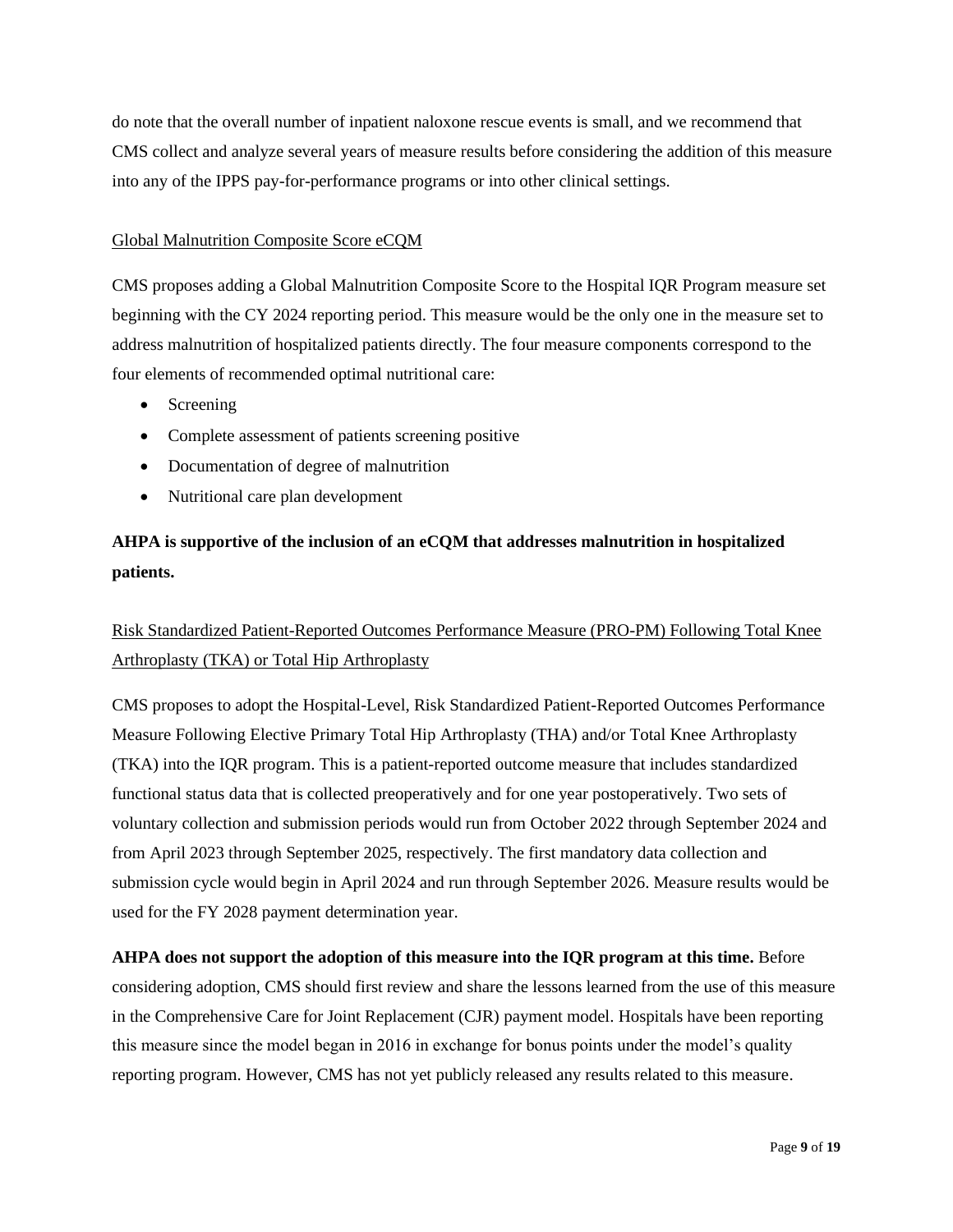do note that the overall number of inpatient naloxone rescue events is small, and we recommend that CMS collect and analyze several years of measure results before considering the addition of this measure into any of the IPPS pay-for-performance programs or into other clinical settings.

# Global Malnutrition Composite Score eCQM

CMS proposes adding a Global Malnutrition Composite Score to the Hospital IQR Program measure set beginning with the CY 2024 reporting period. This measure would be the only one in the measure set to address malnutrition of hospitalized patients directly. The four measure components correspond to the four elements of recommended optimal nutritional care:

- Screening
- Complete assessment of patients screening positive
- Documentation of degree of malnutrition
- Nutritional care plan development

# **AHPA is supportive of the inclusion of an eCQM that addresses malnutrition in hospitalized patients.**

# Risk Standardized Patient-Reported Outcomes Performance Measure (PRO-PM) Following Total Knee Arthroplasty (TKA) or Total Hip Arthroplasty

CMS proposes to adopt the Hospital-Level, Risk Standardized Patient-Reported Outcomes Performance Measure Following Elective Primary Total Hip Arthroplasty (THA) and/or Total Knee Arthroplasty (TKA) into the IQR program. This is a patient-reported outcome measure that includes standardized functional status data that is collected preoperatively and for one year postoperatively. Two sets of voluntary collection and submission periods would run from October 2022 through September 2024 and from April 2023 through September 2025, respectively. The first mandatory data collection and submission cycle would begin in April 2024 and run through September 2026. Measure results would be used for the FY 2028 payment determination year.

# **AHPA does not support the adoption of this measure into the IQR program at this time.** Before considering adoption, CMS should first review and share the lessons learned from the use of this measure in the Comprehensive Care for Joint Replacement (CJR) payment model. Hospitals have been reporting this measure since the model began in 2016 in exchange for bonus points under the model's quality reporting program. However, CMS has not yet publicly released any results related to this measure.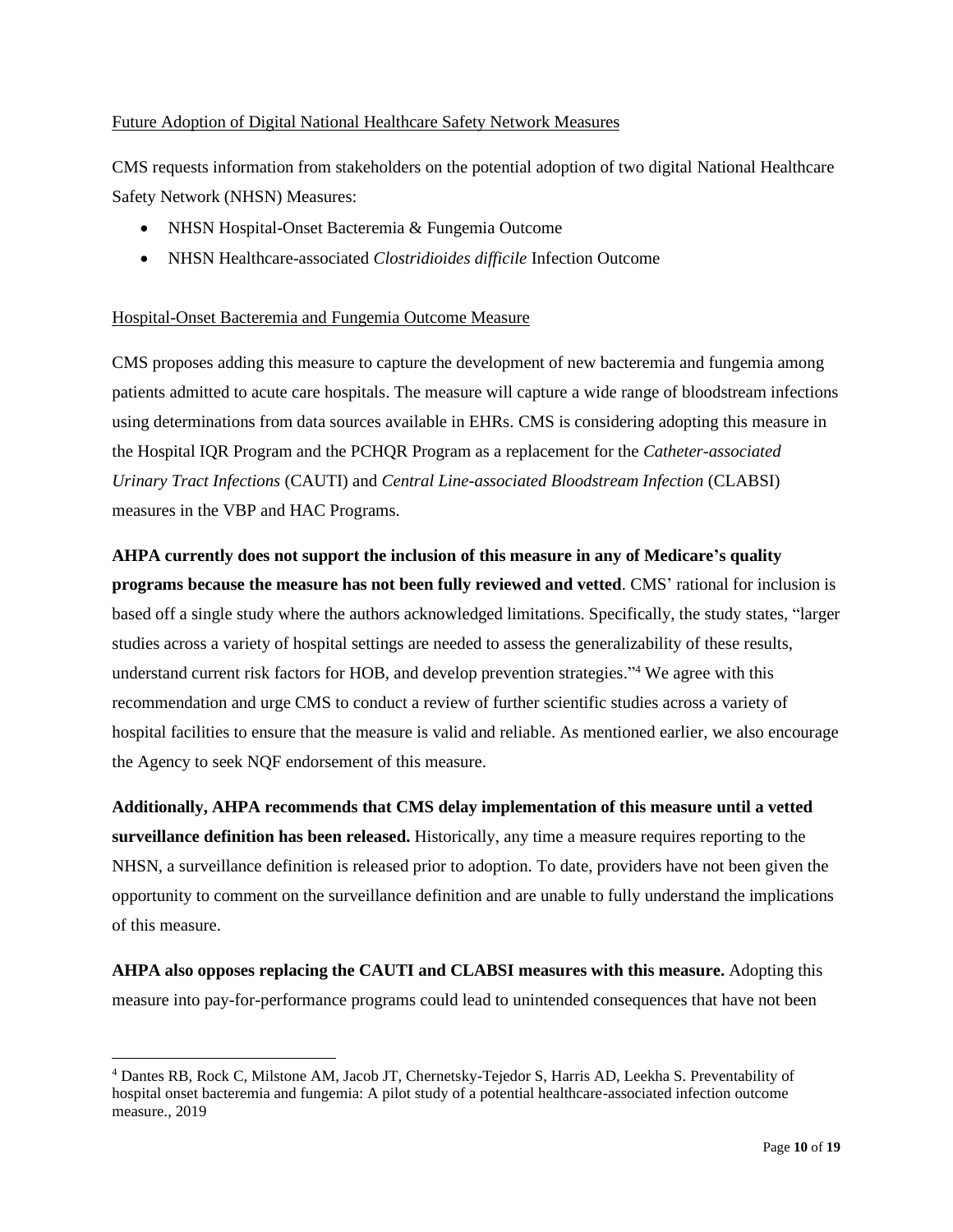# Future Adoption of Digital National Healthcare Safety Network Measures

CMS requests information from stakeholders on the potential adoption of two digital National Healthcare Safety Network (NHSN) Measures:

- NHSN Hospital-Onset Bacteremia & Fungemia Outcome
- NHSN Healthcare-associated *Clostridioides difficile* Infection Outcome

# Hospital-Onset Bacteremia and Fungemia Outcome Measure

CMS proposes adding this measure to capture the development of new bacteremia and fungemia among patients admitted to acute care hospitals. The measure will capture a wide range of bloodstream infections using determinations from data sources available in EHRs. CMS is considering adopting this measure in the Hospital IQR Program and the PCHQR Program as a replacement for the *Catheter-associated Urinary Tract Infections* (CAUTI) and *Central Line-associated Bloodstream Infection* (CLABSI) measures in the VBP and HAC Programs.

# **AHPA currently does not support the inclusion of this measure in any of Medicare's quality**

**programs because the measure has not been fully reviewed and vetted**. CMS' rational for inclusion is based off a single study where the authors acknowledged limitations. Specifically, the study states, "larger studies across a variety of hospital settings are needed to assess the generalizability of these results, understand current risk factors for HOB, and develop prevention strategies." <sup>4</sup> We agree with this recommendation and urge CMS to conduct a review of further scientific studies across a variety of hospital facilities to ensure that the measure is valid and reliable. As mentioned earlier, we also encourage the Agency to seek NQF endorsement of this measure.

**Additionally, AHPA recommends that CMS delay implementation of this measure until a vetted surveillance definition has been released.** Historically, any time a measure requires reporting to the NHSN, a surveillance definition is released prior to adoption. To date, providers have not been given the opportunity to comment on the surveillance definition and are unable to fully understand the implications of this measure.

**AHPA also opposes replacing the CAUTI and CLABSI measures with this measure.** Adopting this measure into pay-for-performance programs could lead to unintended consequences that have not been

<sup>4</sup> Dantes RB, Rock C, Milstone AM, Jacob JT, Chernetsky-Tejedor S, Harris AD, Leekha S. Preventability of hospital onset bacteremia and fungemia: A pilot study of a potential healthcare-associated infection outcome measure., 2019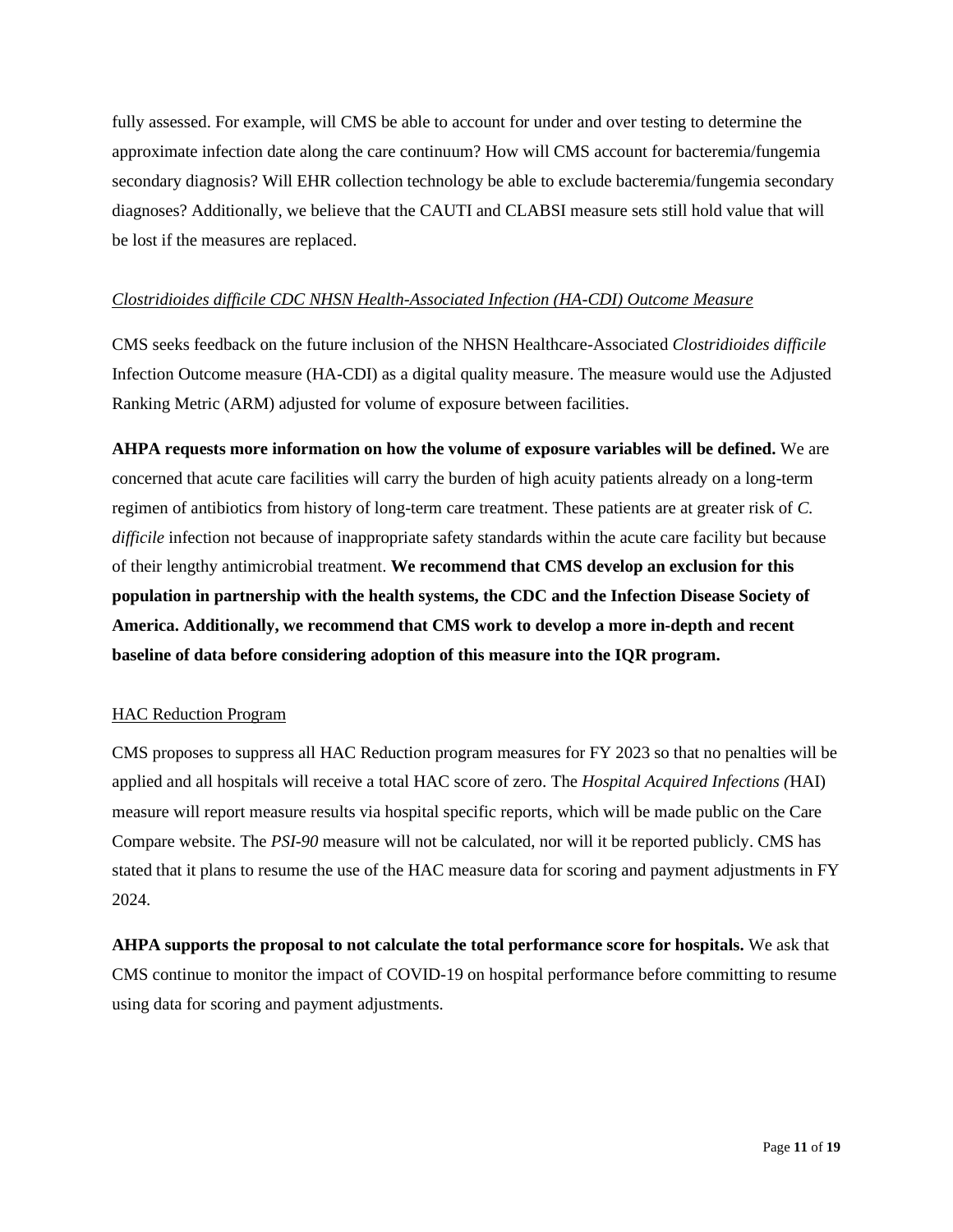fully assessed. For example, will CMS be able to account for under and over testing to determine the approximate infection date along the care continuum? How will CMS account for bacteremia/fungemia secondary diagnosis? Will EHR collection technology be able to exclude bacteremia/fungemia secondary diagnoses? Additionally, we believe that the CAUTI and CLABSI measure sets still hold value that will be lost if the measures are replaced.

#### *Clostridioides difficile CDC NHSN Health-Associated Infection (HA-CDI) Outcome Measure*

CMS seeks feedback on the future inclusion of the NHSN Healthcare-Associated *Clostridioides difficile* Infection Outcome measure (HA-CDI) as a digital quality measure. The measure would use the Adjusted Ranking Metric (ARM) adjusted for volume of exposure between facilities.

**AHPA requests more information on how the volume of exposure variables will be defined.** We are concerned that acute care facilities will carry the burden of high acuity patients already on a long-term regimen of antibiotics from history of long-term care treatment. These patients are at greater risk of *C. difficile* infection not because of inappropriate safety standards within the acute care facility but because of their lengthy antimicrobial treatment. **We recommend that CMS develop an exclusion for this population in partnership with the health systems, the CDC and the Infection Disease Society of America. Additionally, we recommend that CMS work to develop a more in-depth and recent baseline of data before considering adoption of this measure into the IQR program.**

### HAC Reduction Program

CMS proposes to suppress all HAC Reduction program measures for FY 2023 so that no penalties will be applied and all hospitals will receive a total HAC score of zero. The *Hospital Acquired Infections (*HAI) measure will report measure results via hospital specific reports, which will be made public on the Care Compare website. The *PSI-90* measure will not be calculated, nor will it be reported publicly. CMS has stated that it plans to resume the use of the HAC measure data for scoring and payment adjustments in FY 2024.

**AHPA supports the proposal to not calculate the total performance score for hospitals.** We ask that CMS continue to monitor the impact of COVID-19 on hospital performance before committing to resume using data for scoring and payment adjustments.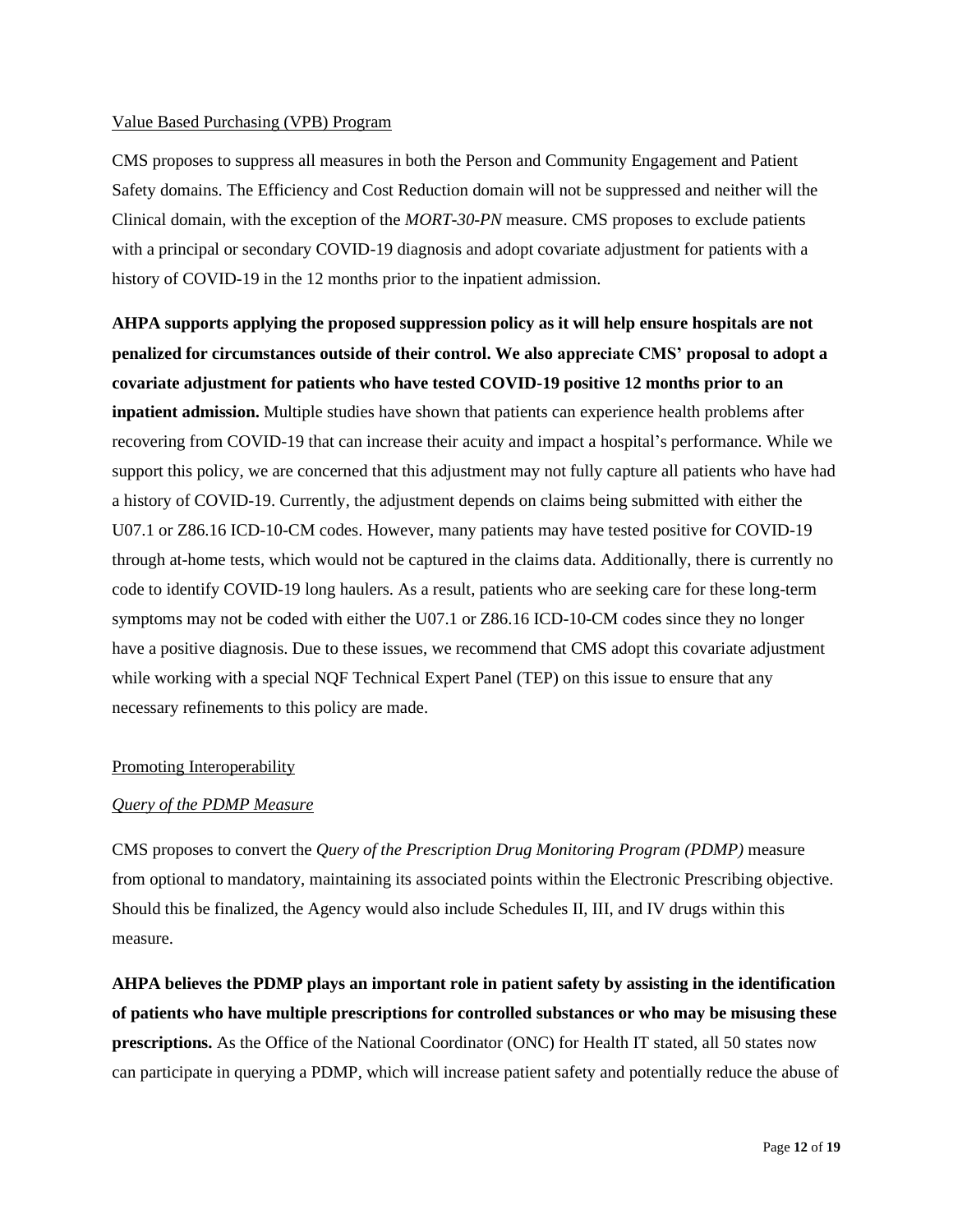#### Value Based Purchasing (VPB) Program

CMS proposes to suppress all measures in both the Person and Community Engagement and Patient Safety domains. The Efficiency and Cost Reduction domain will not be suppressed and neither will the Clinical domain, with the exception of the *MORT-30-PN* measure. CMS proposes to exclude patients with a principal or secondary COVID-19 diagnosis and adopt covariate adjustment for patients with a history of COVID-19 in the 12 months prior to the inpatient admission.

**AHPA supports applying the proposed suppression policy as it will help ensure hospitals are not penalized for circumstances outside of their control. We also appreciate CMS' proposal to adopt a covariate adjustment for patients who have tested COVID-19 positive 12 months prior to an inpatient admission.** Multiple studies have shown that patients can experience health problems after recovering from COVID-19 that can increase their acuity and impact a hospital's performance. While we support this policy, we are concerned that this adjustment may not fully capture all patients who have had a history of COVID-19. Currently, the adjustment depends on claims being submitted with either the U07.1 or Z86.16 ICD-10-CM codes. However, many patients may have tested positive for COVID-19 through at-home tests, which would not be captured in the claims data. Additionally, there is currently no code to identify COVID-19 long haulers. As a result, patients who are seeking care for these long-term symptoms may not be coded with either the U07.1 or Z86.16 ICD-10-CM codes since they no longer have a positive diagnosis. Due to these issues, we recommend that CMS adopt this covariate adjustment while working with a special NQF Technical Expert Panel (TEP) on this issue to ensure that any necessary refinements to this policy are made.

### Promoting Interoperability

### *Query of the PDMP Measure*

CMS proposes to convert the *Query of the Prescription Drug Monitoring Program (PDMP)* measure from optional to mandatory, maintaining its associated points within the Electronic Prescribing objective. Should this be finalized, the Agency would also include Schedules II, III, and IV drugs within this measure.

**AHPA believes the PDMP plays an important role in patient safety by assisting in the identification of patients who have multiple prescriptions for controlled substances or who may be misusing these prescriptions.** As the Office of the National Coordinator (ONC) for Health IT stated, all 50 states now can participate in querying a PDMP, which will increase patient safety and potentially reduce the abuse of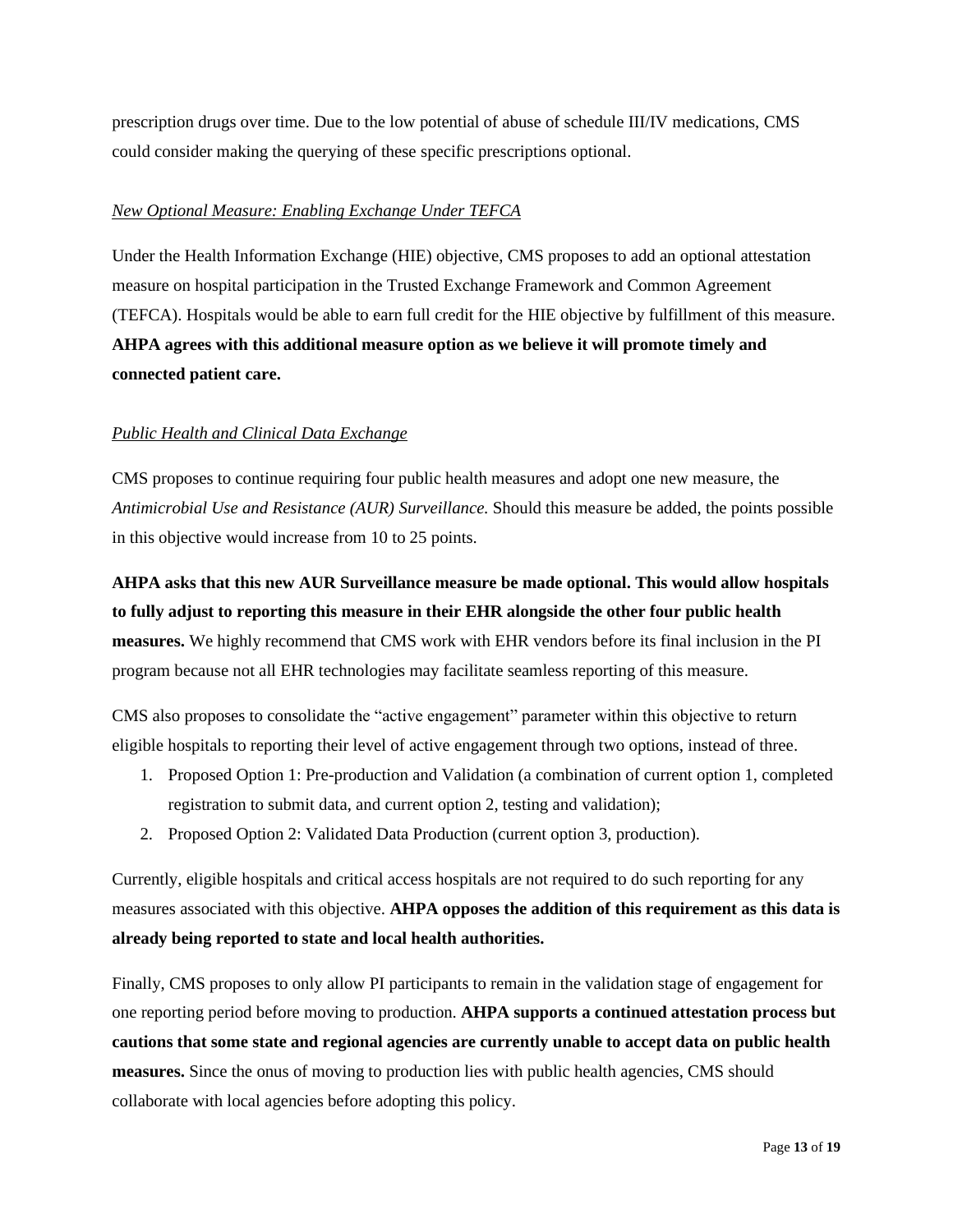prescription drugs over time. Due to the low potential of abuse of schedule III/IV medications, CMS could consider making the querying of these specific prescriptions optional.

# *New Optional Measure: Enabling Exchange Under TEFCA*

Under the Health Information Exchange (HIE) objective, CMS proposes to add an optional attestation measure on hospital participation in the Trusted Exchange Framework and Common Agreement (TEFCA). Hospitals would be able to earn full credit for the HIE objective by fulfillment of this measure. **AHPA agrees with this additional measure option as we believe it will promote timely and connected patient care.** 

# *Public Health and Clinical Data Exchange*

CMS proposes to continue requiring four public health measures and adopt one new measure, the *Antimicrobial Use and Resistance (AUR) Surveillance.* Should this measure be added, the points possible in this objective would increase from 10 to 25 points.

**AHPA asks that this new AUR Surveillance measure be made optional. This would allow hospitals to fully adjust to reporting this measure in their EHR alongside the other four public health measures.** We highly recommend that CMS work with EHR vendors before its final inclusion in the PI program because not all EHR technologies may facilitate seamless reporting of this measure.

CMS also proposes to consolidate the "active engagement" parameter within this objective to return eligible hospitals to reporting their level of active engagement through two options, instead of three.

- 1. Proposed Option 1: Pre-production and Validation (a combination of current option 1, completed registration to submit data, and current option 2, testing and validation);
- 2. Proposed Option 2: Validated Data Production (current option 3, production).

Currently, eligible hospitals and critical access hospitals are not required to do such reporting for any measures associated with this objective. **AHPA opposes the addition of this requirement as this data is already being reported to state and local health authorities.** 

Finally, CMS proposes to only allow PI participants to remain in the validation stage of engagement for one reporting period before moving to production. **AHPA supports a continued attestation process but cautions that some state and regional agencies are currently unable to accept data on public health measures.** Since the onus of moving to production lies with public health agencies, CMS should collaborate with local agencies before adopting this policy.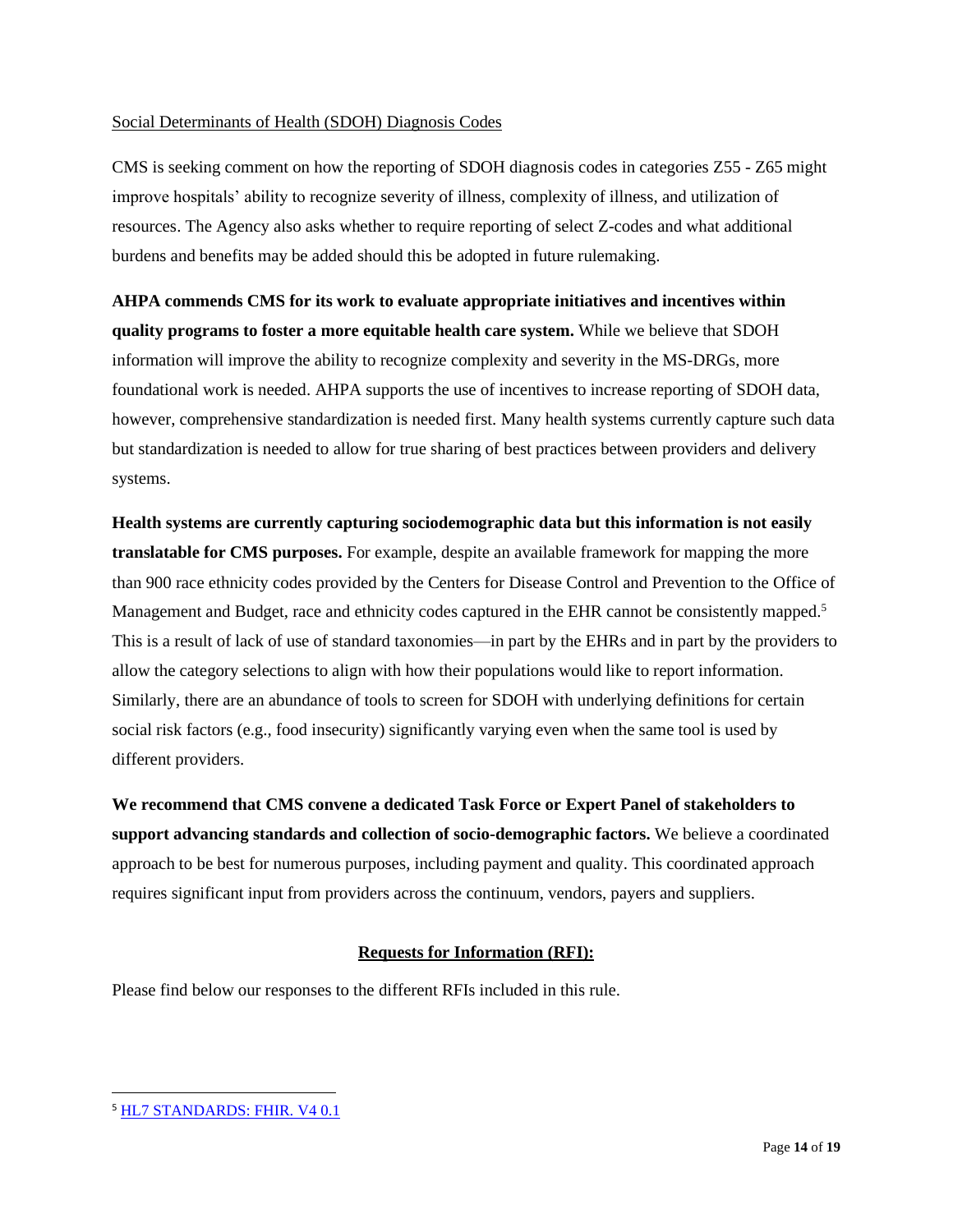# Social Determinants of Health (SDOH) Diagnosis Codes

CMS is seeking comment on how the reporting of SDOH diagnosis codes in categories Z55 - Z65 might improve hospitals' ability to recognize severity of illness, complexity of illness, and utilization of resources. The Agency also asks whether to require reporting of select Z-codes and what additional burdens and benefits may be added should this be adopted in future rulemaking.

**AHPA commends CMS for its work to evaluate appropriate initiatives and incentives within quality programs to foster a more equitable health care system.** While we believe that SDOH information will improve the ability to recognize complexity and severity in the MS-DRGs, more foundational work is needed. AHPA supports the use of incentives to increase reporting of SDOH data, however, comprehensive standardization is needed first. Many health systems currently capture such data but standardization is needed to allow for true sharing of best practices between providers and delivery systems.

**Health systems are currently capturing sociodemographic data but this information is not easily translatable for CMS purposes.** For example, despite an available framework for mapping the more than 900 race ethnicity codes provided by the Centers for Disease Control and Prevention to the Office of Management and Budget, race and ethnicity codes captured in the EHR cannot be consistently mapped.<sup>5</sup> This is a result of lack of use of standard taxonomies—in part by the EHRs and in part by the providers to allow the category selections to align with how their populations would like to report information. Similarly, there are an abundance of tools to screen for SDOH with underlying definitions for certain social risk factors (e.g., food insecurity) significantly varying even when the same tool is used by different providers.

**We recommend that CMS convene a dedicated Task Force or Expert Panel of stakeholders to support advancing standards and collection of socio-demographic factors.** We believe a coordinated approach to be best for numerous purposes, including payment and quality. This coordinated approach requires significant input from providers across the continuum, vendors, payers and suppliers.

# **Requests for Information (RFI):**

Please find below our responses to the different RFIs included in this rule.

<sup>5</sup> [HL7 STANDARDS: FHIR. V4 0.1](https://www.cdc.gov/nchs/data/dvs/Race_Ethnicity_CodeSet.pdf)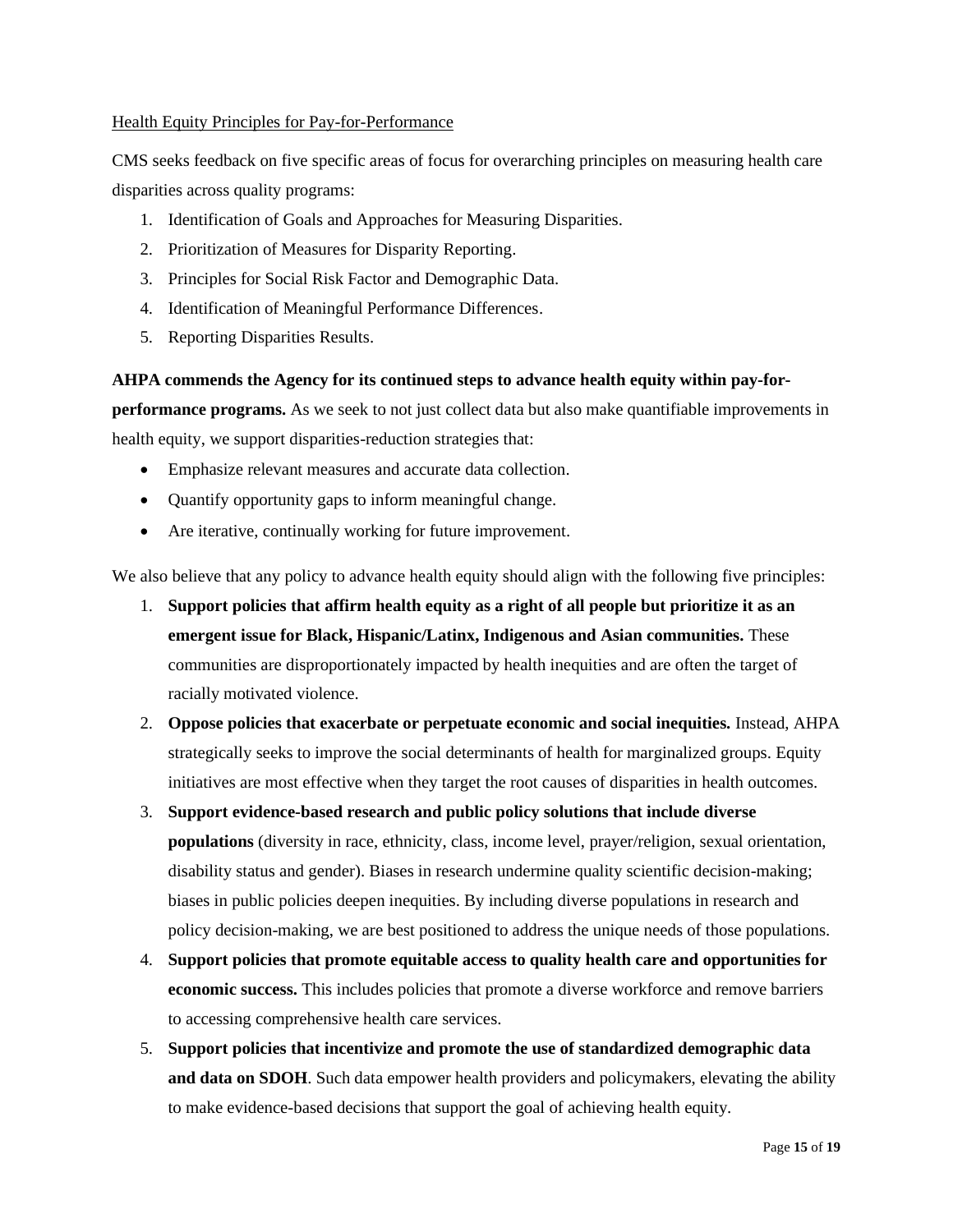# Health Equity Principles for Pay-for-Performance

CMS seeks feedback on five specific areas of focus for overarching principles on measuring health care disparities across quality programs:

- 1. Identification of Goals and Approaches for Measuring Disparities.
- 2. Prioritization of Measures for Disparity Reporting.
- 3. Principles for Social Risk Factor and Demographic Data.
- 4. Identification of Meaningful Performance Differences.
- 5. Reporting Disparities Results.

# **AHPA commends the Agency for its continued steps to advance health equity within pay-for-**

**performance programs.** As we seek to not just collect data but also make quantifiable improvements in health equity, we support disparities-reduction strategies that:

- Emphasize relevant measures and accurate data collection.
- Quantify opportunity gaps to inform meaningful change.
- Are iterative, continually working for future improvement.

We also believe that any policy to advance health equity should align with the following five principles:

- 1. **Support policies that affirm health equity as a right of all people but prioritize it as an emergent issue for Black, Hispanic/Latinx, Indigenous and Asian communities.** These communities are disproportionately impacted by health inequities and are often the target of racially motivated violence.
- 2. **Oppose policies that exacerbate or perpetuate economic and social inequities.** Instead, AHPA strategically seeks to improve the social determinants of health for marginalized groups. Equity initiatives are most effective when they target the root causes of disparities in health outcomes.
- 3. **Support evidence-based research and public policy solutions that include diverse populations** (diversity in race, ethnicity, class, income level, prayer/religion, sexual orientation, disability status and gender). Biases in research undermine quality scientific decision-making; biases in public policies deepen inequities. By including diverse populations in research and policy decision-making, we are best positioned to address the unique needs of those populations.
- 4. **Support policies that promote equitable access to quality health care and opportunities for economic success.** This includes policies that promote a diverse workforce and remove barriers to accessing comprehensive health care services.
- 5. **Support policies that incentivize and promote the use of standardized demographic data and data on SDOH**. Such data empower health providers and policymakers, elevating the ability to make evidence-based decisions that support the goal of achieving health equity.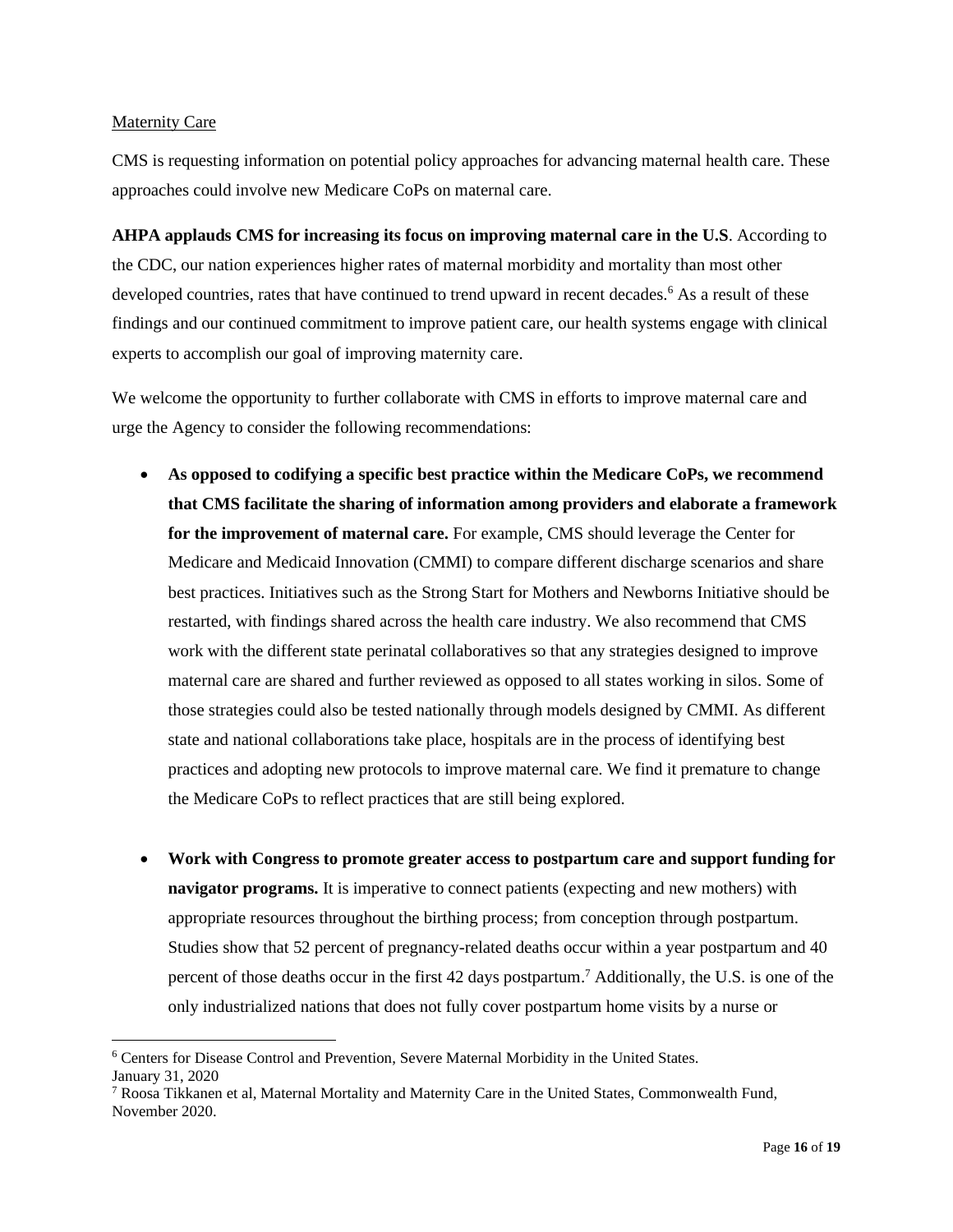# Maternity Care

CMS is requesting information on potential policy approaches for advancing maternal health care. These approaches could involve new Medicare CoPs on maternal care.

**AHPA applauds CMS for increasing its focus on improving maternal care in the U.S**. According to the CDC, our nation experiences higher rates of maternal morbidity and mortality than most other developed countries, rates that have continued to trend upward in recent decades.<sup>6</sup> As a result of these findings and our continued commitment to improve patient care, our health systems engage with clinical experts to accomplish our goal of improving maternity care.

We welcome the opportunity to further collaborate with CMS in efforts to improve maternal care and urge the Agency to consider the following recommendations:

- **As opposed to codifying a specific best practice within the Medicare CoPs, we recommend that CMS facilitate the sharing of information among providers and elaborate a framework for the improvement of maternal care.** For example, CMS should leverage the Center for Medicare and Medicaid Innovation (CMMI) to compare different discharge scenarios and share best practices. Initiatives such as the Strong Start for Mothers and Newborns Initiative should be restarted, with findings shared across the health care industry. We also recommend that CMS work with the different state perinatal collaboratives so that any strategies designed to improve maternal care are shared and further reviewed as opposed to all states working in silos. Some of those strategies could also be tested nationally through models designed by CMMI. As different state and national collaborations take place, hospitals are in the process of identifying best practices and adopting new protocols to improve maternal care. We find it premature to change the Medicare CoPs to reflect practices that are still being explored.
- **Work with Congress to promote greater access to postpartum care and support funding for navigator programs.** It is imperative to connect patients (expecting and new mothers) with appropriate resources throughout the birthing process; from conception through postpartum. Studies show that 52 percent of pregnancy-related deaths occur within a year postpartum and 40 percent of those deaths occur in the first 42 days postpartum. <sup>7</sup> Additionally, the U.S. is one of the only industrialized nations that does not fully cover postpartum home visits by a nurse or

<sup>6</sup> Centers for Disease Control and Prevention, Severe Maternal Morbidity in the United States.

January 31, 2020

 $7$  Roosa Tikkanen et al, Maternal Mortality and Maternity Care in the United States, Commonwealth Fund, November 2020.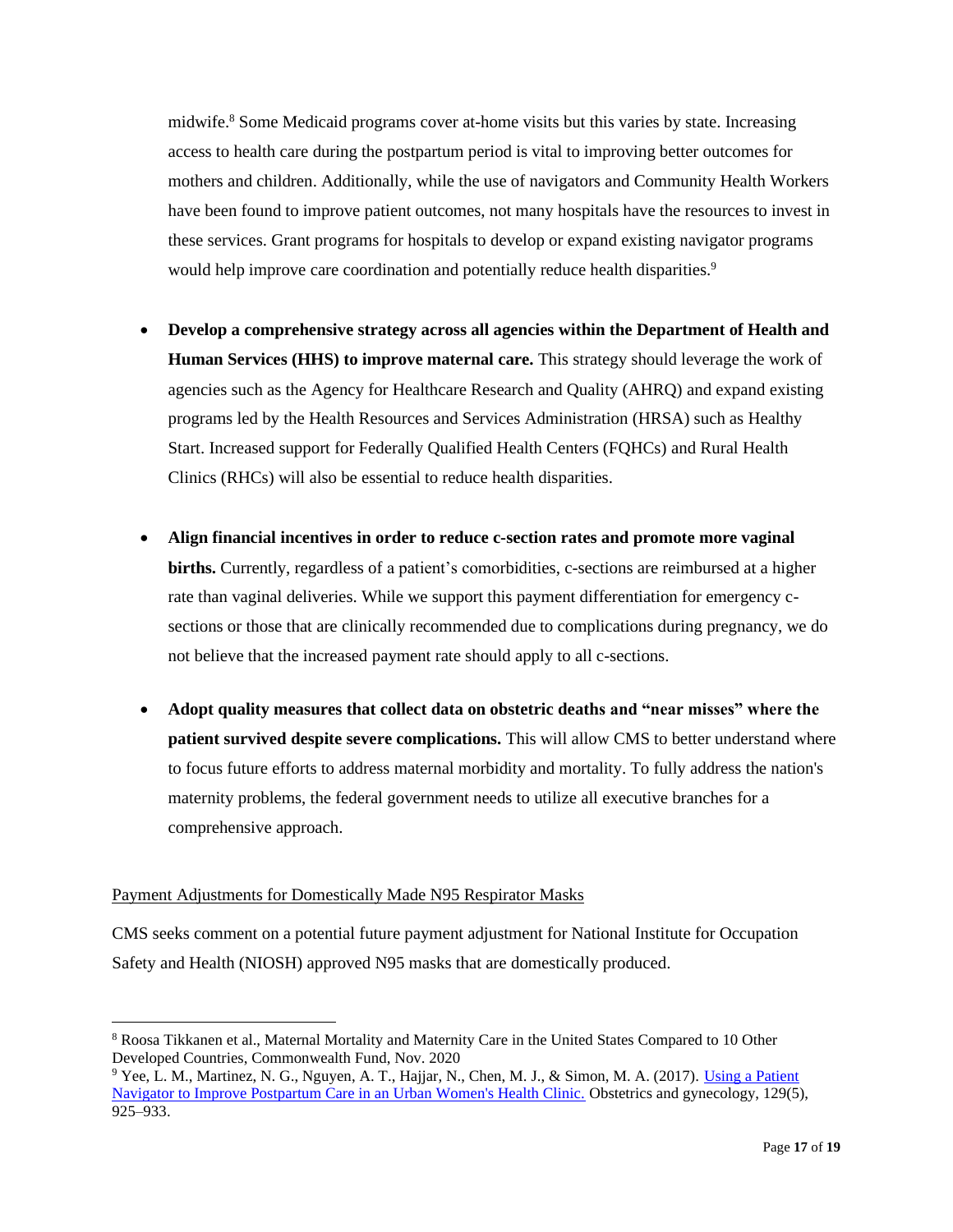midwife. <sup>8</sup> Some Medicaid programs cover at-home visits but this varies by state. Increasing access to health care during the postpartum period is vital to improving better outcomes for mothers and children. Additionally, while the use of navigators and Community Health Workers have been found to improve patient outcomes, not many hospitals have the resources to invest in these services. Grant programs for hospitals to develop or expand existing navigator programs would help improve care coordination and potentially reduce health disparities.<sup>9</sup>

- **Develop a comprehensive strategy across all agencies within the Department of Health and Human Services (HHS) to improve maternal care.** This strategy should leverage the work of agencies such as the Agency for Healthcare Research and Quality (AHRQ) and expand existing programs led by the Health Resources and Services Administration (HRSA) such as Healthy Start. Increased support for Federally Qualified Health Centers (FQHCs) and Rural Health Clinics (RHCs) will also be essential to reduce health disparities.
- **Align financial incentives in order to reduce c-section rates and promote more vaginal births.** Currently, regardless of a patient's comorbidities, c-sections are reimbursed at a higher rate than vaginal deliveries. While we support this payment differentiation for emergency csections or those that are clinically recommended due to complications during pregnancy, we do not believe that the increased payment rate should apply to all c-sections.
- **Adopt quality measures that collect data on obstetric deaths and "near misses" where the patient survived despite severe complications.** This will allow CMS to better understand where to focus future efforts to address maternal morbidity and mortality. To fully address the nation's maternity problems, the federal government needs to utilize all executive branches for a comprehensive approach.

# Payment Adjustments for Domestically Made N95 Respirator Masks

CMS seeks comment on a potential future payment adjustment for National Institute for Occupation Safety and Health (NIOSH) approved N95 masks that are domestically produced.

<sup>8</sup> Roosa Tikkanen et al., Maternal Mortality and Maternity Care in the United States Compared to 10 Other Developed Countries, Commonwealth Fund, Nov. 2020

<sup>9</sup> Yee, L. M., Martinez, N. G., Nguyen, A. T., Hajjar, N., Chen, M. J., & Simon, M. A. (2017). [Using a Patient](https://www.ncbi.nlm.nih.gov/pmc/articles/PMC5400713/)  [Navigator to Improve Postpartum Care in an Urban Women's Health Clinic.](https://www.ncbi.nlm.nih.gov/pmc/articles/PMC5400713/) Obstetrics and gynecology, 129(5), 925–933.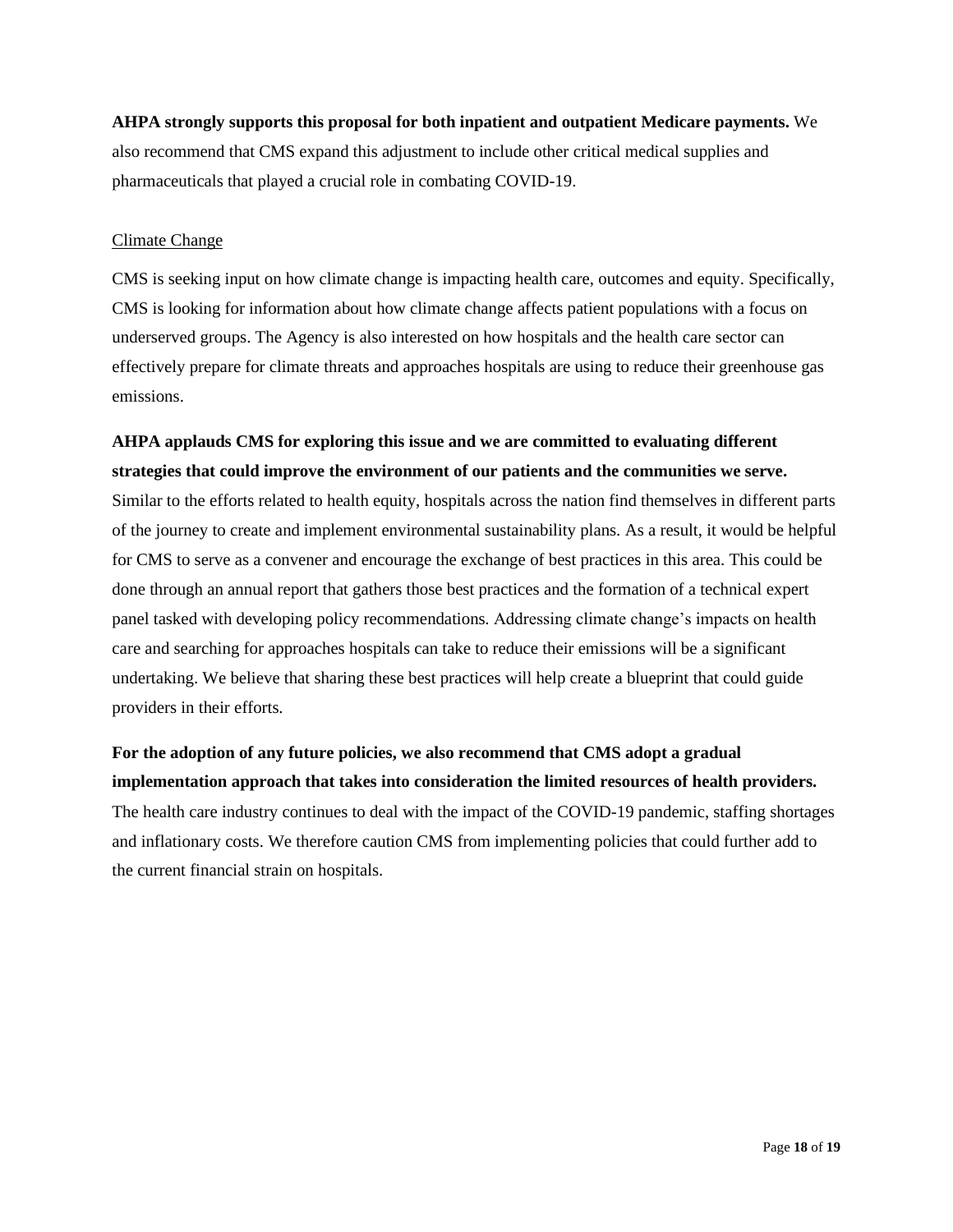**AHPA strongly supports this proposal for both inpatient and outpatient Medicare payments.** We also recommend that CMS expand this adjustment to include other critical medical supplies and pharmaceuticals that played a crucial role in combating COVID-19.

# Climate Change

CMS is seeking input on how climate change is impacting health care, outcomes and equity. Specifically, CMS is looking for information about how climate change affects patient populations with a focus on underserved groups. The Agency is also interested on how hospitals and the health care sector can effectively prepare for climate threats and approaches hospitals are using to reduce their greenhouse gas emissions.

# **AHPA applauds CMS for exploring this issue and we are committed to evaluating different strategies that could improve the environment of our patients and the communities we serve.**

Similar to the efforts related to health equity, hospitals across the nation find themselves in different parts of the journey to create and implement environmental sustainability plans. As a result, it would be helpful for CMS to serve as a convener and encourage the exchange of best practices in this area. This could be done through an annual report that gathers those best practices and the formation of a technical expert panel tasked with developing policy recommendations. Addressing climate change's impacts on health care and searching for approaches hospitals can take to reduce their emissions will be a significant undertaking. We believe that sharing these best practices will help create a blueprint that could guide providers in their efforts.

# **For the adoption of any future policies, we also recommend that CMS adopt a gradual implementation approach that takes into consideration the limited resources of health providers.**

The health care industry continues to deal with the impact of the COVID-19 pandemic, staffing shortages and inflationary costs. We therefore caution CMS from implementing policies that could further add to the current financial strain on hospitals.